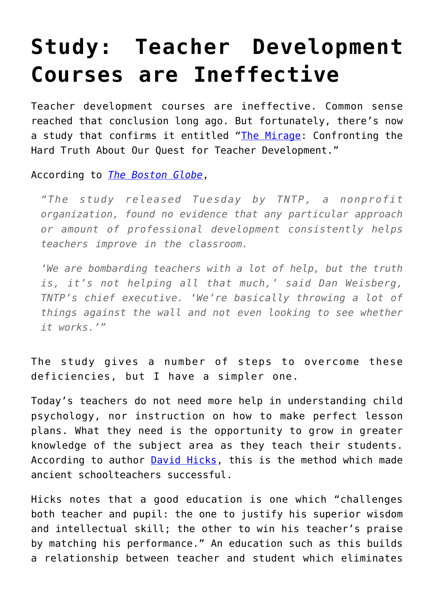## **[Study: Teacher Development](https://intellectualtakeout.org/2015/08/study-teacher-development-courses-are-ineffective/) [Courses are Ineffective](https://intellectualtakeout.org/2015/08/study-teacher-development-courses-are-ineffective/)**

Teacher development courses are ineffective. Common sense reached that conclusion long ago. But fortunately, there's now a study that confirms it entitled "[The Mirage](http://tntp.org/assets/documents/TNTP-Mirage_2015.pdf): Confronting the Hard Truth About Our Quest for Teacher Development."

According to *[The Boston Globe](https://www.bostonglobe.com/news/nation/2015/08/04/study-finds-billions-dollars-annual-teacher-training-largely-waste/fJE89FWh12huogOhJhfJzJ/story.html)*,

*"The study released Tuesday by TNTP, a nonprofit organization, found no evidence that any particular approach or amount of professional development consistently helps teachers improve in the classroom.*

*'We are bombarding teachers with a lot of help, but the truth is, it's not helping all that much,' said Dan Weisberg, TNTP's chief executive. 'We're basically throwing a lot of things against the wall and not even looking to see whether it works.'"*

The study gives a number of steps to overcome these deficiencies, but I have a simpler one.

Today's teachers do not need more help in understanding child psychology, nor instruction on how to make perfect lesson plans. What they need is the opportunity to grow in greater knowledge of the subject area as they teach their students. According to author [David Hicks](http://www.amazon.com/Norms-Nobility-A-Treatise-Education/dp/0761814671), this is the method which made ancient schoolteachers successful.

Hicks notes that a good education is one which "challenges both teacher and pupil: the one to justify his superior wisdom and intellectual skill; the other to win his teacher's praise by matching his performance." An education such as this builds a relationship between teacher and student which eliminates